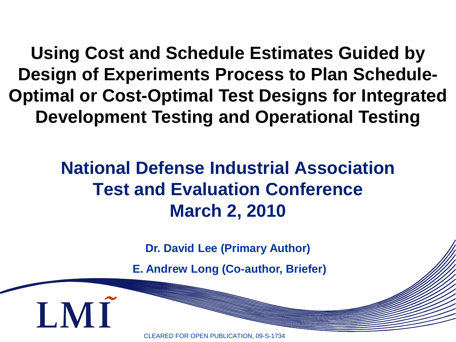**Using Cost and Schedule Estimates Guided by Design of Experiments Process to Plan Schedule-Optimal or Cost-Optimal Test Designs for Integrated Development Testing and Operational Testing**

### **National Defense Industrial Association Test and Evaluation Conference March 2, 2010**

**Dr. David Lee (Primary Author)**

**E. Andrew Long (Co-author, Briefer)**

CLEARED FOR OPEN PUBLICATION, 09-S-1734

**LMI**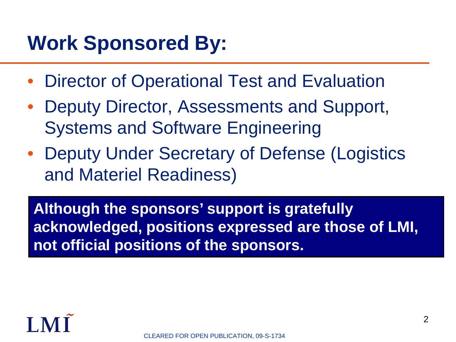## **Work Sponsored By:**

- Director of Operational Test and Evaluation
- Deputy Director, Assessments and Support, Systems and Software Engineering
- Deputy Under Secretary of Defense (Logistics and Materiel Readiness)

**Although the sponsors' support is gratefully acknowledged, positions expressed are those of LMI, not official positions of the sponsors.**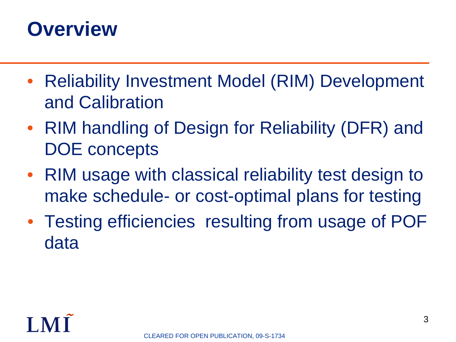### **Overview**

- Reliability Investment Model (RIM) Development and Calibration
- RIM handling of Design for Reliability (DFR) and DOE concepts
- RIM usage with classical reliability test design to make schedule- or cost-optimal plans for testing
- Testing efficiencies resulting from usage of POF data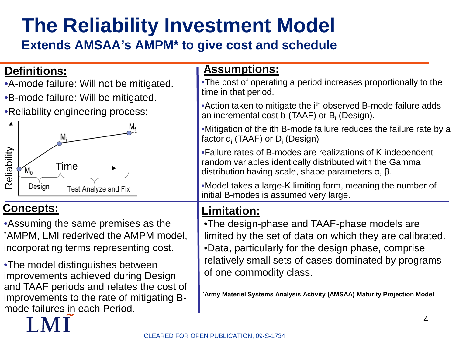# **The Reliability Investment Model**

#### **Extends AMSAA's AMPM\* to give cost and schedule**

#### **Definitions:**

- •A-mode failure: Will not be mitigated.
- •B-mode failure: Will be mitigated.
- •Reliability engineering process:



#### **Concepts:**

•Assuming the same premises as the \* AMPM, LMI rederived the AMPM model, incorporating terms representing cost.

•The model distinguishes between improvements achieved during Design and TAAF periods and relates the cost of improvements to the rate of mitigating Bmode failures in each Period.

#### **Assumptions:**

•The cost of operating a period increases proportionally to the time in that period.

• Action taken to mitigate the i<sup>th</sup> observed B-mode failure adds an incremental cost  $b_i$  (TAAF) or  $B_i$  (Design).

•Mitigation of the ith B-mode failure reduces the failure rate by a factor  $d_i$  (TAAF) or  $D_i$  (Design)

•Failure rates of B-modes are realizations of K independent random variables identically distributed with the Gamma distribution having scale, shape parameters α, β.

•Model takes a large-K limiting form, meaning the number of initial B-modes is assumed very large.

#### **Limitation:**

•The design-phase and TAAF-phase models are limited by the set of data on which they are calibrated. •Data, particularly for the design phase, comprise relatively small sets of cases dominated by programs of one commodity class.

**\* Army Materiel Systems Analysis Activity (AMSAA) Maturity Projection Model**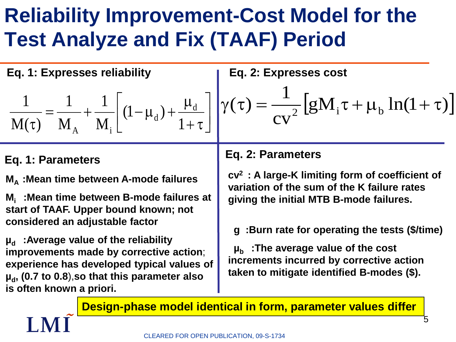## **Reliability Improvement-Cost Model for the Test Analyze and Fix (TAAF) Period**

 $\overline{\phantom{a}}$  $\rfloor$ 

 $\overline{\phantom{a}}$ 

**Eq. 1: Expresses reliability**

$$
\frac{1}{M(\tau)} = \frac{1}{M_A} + \frac{1}{M_i} \left[ (1 - \mu_d) + \frac{\mu_d}{1 + \tau} \right] \gamma(\tau) = \frac{1}{c v^2} \left[ g M_i \tau + \mu_b \ln(1 + \tau) \right]
$$

#### **Eq. 1: Parameters**

**MA :Mean time between A-mode failures**

**Mi :Mean time between B-mode failures at start of TAAF. Upper bound known; not considered an adjustable factor**

**µ**<sub>d</sub> : Average value of the reliability **improvements made by corrective action**; **experience has developed typical values of**   $\mu_{\rm d}$ , (0.7 to 0.8), so that this parameter also **is often known a priori.**

#### **Eq. 2: Parameters**

cv

**Eq. 2: Expresses cost**

**cv2 : A large-K limiting form of coefficient of variation of the sum of the K failure rates giving the initial MTB B-mode failures.**

 $\gamma(\tau) = \frac{1}{\sigma v^2} \left[ g M_i \tau + \mu_b \ln(1 + \tau) \right]$ 

**g :Burn rate for operating the tests (\$/time)**

**µb :The average value of the cost increments incurred by corrective action taken to mitigate identified B-modes (\$).**

**Design-phase model identical in form, parameter values differ**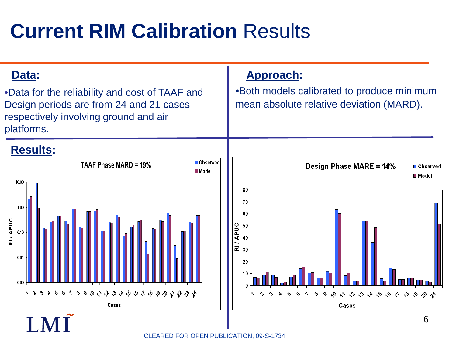## **Current RIM Calibration** Results



CLEARED FOR OPEN PUBLICATION, 09-S-1734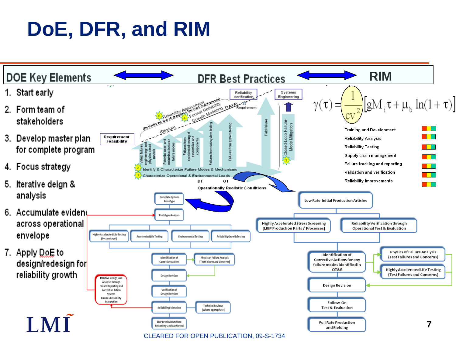## **DoE, DFR, and RIM**

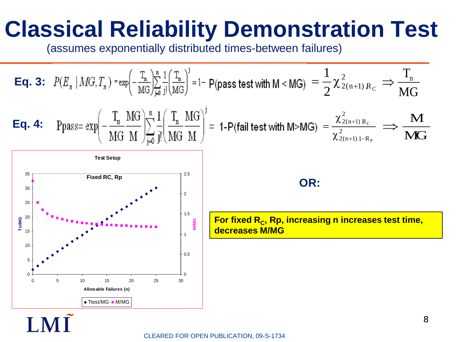# **Classical Reliability Demonstration Test**

(assumes exponentially distributed times-between failures)

**Eq. 3:** 
$$
P(E_n \mid MG, T_n) = \exp\left(-\frac{T_n}{MG}\right) \frac{1}{\mu} \frac{1}{j!} \frac{T_n}{(MG)^j} = 1 - P(\text{pass test with } M < MG) = \frac{1}{2} \chi^2_{2(n+1)R_C} \Rightarrow \frac{T_n}{MG}
$$
  
\n**Eq. 4:**  $P \text{pass} = \exp\left(-\frac{T_n}{MG} \frac{MG}{M}\right) \sum_{j=0}^{n} \frac{1}{j!} \frac{1}{(MG \frac{T_n}{M})} \frac{M}{j!} = 1 - P(\text{fail test with } M > MG) = \frac{\chi^2_{2(n+1)R_C}}{\chi^2_{2(n+1)1-R_P}} \Rightarrow \frac{M}{MG}$   
\n $\frac{1}{\chi^2_{2(n+1)1-R_P}} \Rightarrow \frac{M}{MG}$   
\n $\frac{1}{\chi^2_{2(n+1)1-R_P}} \Rightarrow \frac{M}{MG}$   
\n $\frac{1}{\chi^2_{2(n+1)1-R_P}} \Rightarrow \frac{M}{MG}$   
\n $\frac{1}{\chi^2_{2(n+1)1-R_P}} \Rightarrow \frac{M}{MG}$   
\n $\frac{1}{\chi^2_{2(n+1)1-R_P}} \Rightarrow \frac{M}{MG}$   
\n $\frac{1}{\chi^2_{2(n+1)1-R_P}} \Rightarrow \frac{M}{MG}$   
\n $\frac{1}{\chi^2_{2(n+1)1-R_P}} \Rightarrow \frac{M}{MG}$   
\n $\frac{1}{\chi^2_{2(n+1)1-R_P}} \Rightarrow \frac{M}{MG}$   
\n $\frac{1}{\chi^2_{2(n+1)1-R_P}} \Rightarrow \frac{M}{MG}$   
\n $\frac{1}{\chi^2_{2(n+1)1-R_P}} \Rightarrow \frac{M}{MG}$ 

CLEARED FOR OPEN PUBLICATION, 09-S-1734

 $LM\tilde{I}$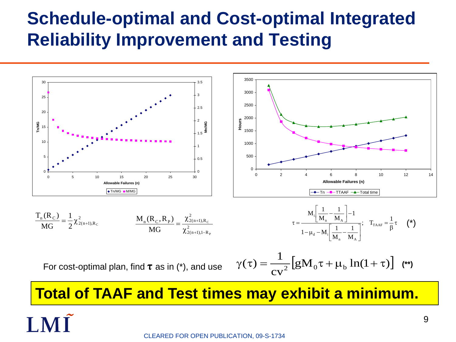### **Schedule-optimal and Cost-optimal Integrated Reliability Improvement and Testing**



**Total of TAAF and Test times may exhibit a minimum.**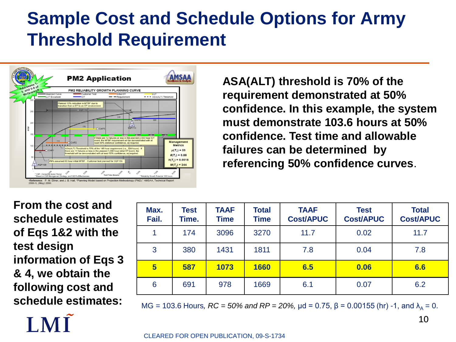### **Sample Cost and Schedule Options for Army Threshold Requirement**



**ASA(ALT) threshold is 70% of the requirement demonstrated at 50% confidence. In this example, the system must demonstrate 103.6 hours at 50% confidence. Test time and allowable failures can be determined by referencing 50% confidence curves**.

**From the cost and schedule estimates of Eqs 1&2 with the test design information of Eqs 3 & 4, we obtain the following cost and schedule estimates:**

| Max.<br>Fail.   | Test<br>Time. | <b>TAAF</b><br><b>Time</b> | <b>Total</b><br><b>Time</b> | <b>TAAF</b><br><b>Cost/APUC</b> | <b>Test</b><br><b>Cost/APUC</b> | <b>Total</b><br><b>Cost/APUC</b> |
|-----------------|---------------|----------------------------|-----------------------------|---------------------------------|---------------------------------|----------------------------------|
|                 | 174           | 3096                       | 3270                        | 11.7                            | 0.02                            | 11.7                             |
| 3               | 380           | 1431                       | 1811                        | 7.8                             | 0.04                            | 7.8                              |
| $5\overline{)}$ | 587           | 1073                       | 1660                        | 6.5                             | 0.06                            | 6.6                              |
| 6               | 691           | 978                        | 1669                        | 6.1                             | 0.07                            | 6.2                              |

 $MG = 103.6$  Hours,  $RC = 50\%$  and  $RP = 20\%$ ,  $\mu$ d = 0.75, β = 0.00155 (hr) -1, and  $\lambda_0 = 0$ .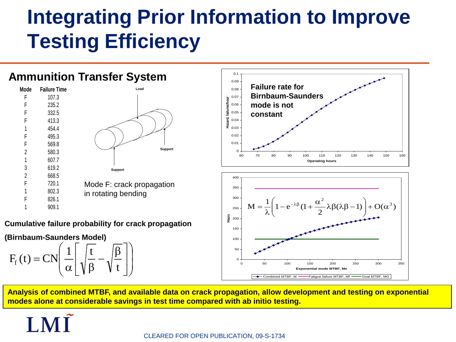## **Integrating Prior Information to Improve Testing Efficiency**

#### **Ammunition Transfer System** 0.1 0.09 **Failure rate for Mode Failure Time** 0.08 **Load Birnbaum-Saunders**  F 107.3 0.07 **Hazard, failures/hour** 235.2 ailures/h **mode is not**  0.06 F 332.5 0.05 **constant** Hazard, 0.04 413.3 4544 0.03 F 495.3 0.02 F 569.8 0.01 **Support** 2 580.3  $\Omega$ 60 70 80 90 100 110 120 130 140 150 160 607.7 **Operating hours** 619.2 **Support** 2 668.5 400 F 720.1 Mode F: crack propagation 350 802.3 in rotating bending 300 826.1  $\mathbf{M} = \frac{1}{\lambda} \left( 1 - e^{-\lambda \beta} (1 + \frac{\alpha^2}{2} \lambda \beta (\lambda \beta - 1) \right) + \mathbf{O}(\alpha^3)$  $=\frac{1}{\lambda}\left(1-e^{-\lambda\beta}(1+\frac{\alpha^2}{2}\lambda\beta(\lambda\beta-\right)$  $\setminus$  $\overline{\phantom{a}}$ 1 909.1 250  $\setminus$ J 200 **Hours Cumulative failure probability for crack propagation** 150 **(Birnbaum-Saunders Model)** 100  $\bigg($  $\setminus$  $F_f(t) = CN \left(\frac{1}{\alpha} \right) \sqrt{\frac{t}{\beta}} - \sqrt{\frac{\beta}{t}}$  $\sqrt{\frac{t}{\rho}} - \sqrt{\frac{\beta}{t}}$ 50  $\mathsf{L}$  $\overline{\phantom{a}}$  $\overline{\phantom{a}}$  $\Omega$  $\overline{\phantom{a}}$  $\vert$

**Analysis of combined MTBF, and available data on crack propagation, allow development and testing on exponential modes alone at considerable savings in test time compared with ab initio testing.**

0 50 100 150 200 250 300 350 **Exponential mode MTBF, Me** Combined MTBF, M **Fatigue failure MTBF, Mf**  $\sim$ Goal MTBF, MG

 $\setminus$ 

 $\int$ 

 $\rfloor$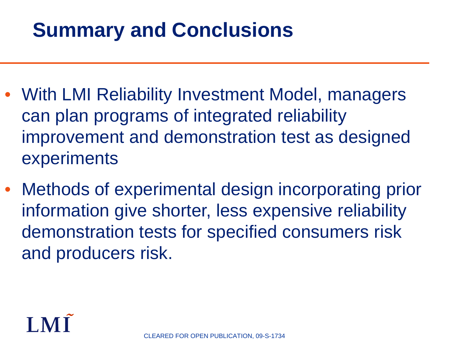## **Summary and Conclusions**

- With LMI Reliability Investment Model, managers can plan programs of integrated reliability improvement and demonstration test as designed experiments
- Methods of experimental design incorporating prior information give shorter, less expensive reliability demonstration tests for specified consumers risk and producers risk.

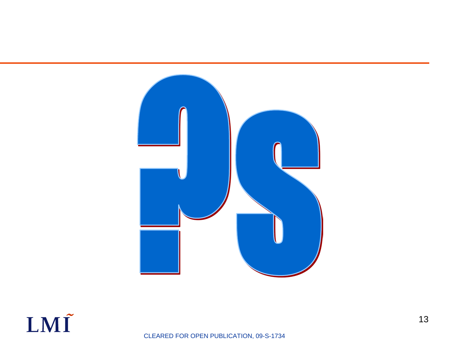

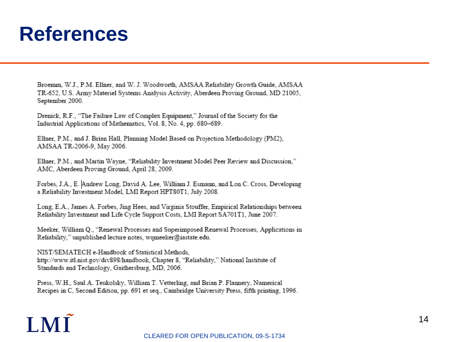### **References**

Broemm, W.J., P.M. Ellner, and W. J. Woodworth, AMSAA Reliability Growth Guide, AMSAA TR-652, U.S. Army Materiel Systems Analysis Activity, Aberdeen Proving Ground, MD 21005, September 2000.

Drenick, R.F., "The Failure Law of Complex Equipment," Journal of the Society for the Industrial Applications of Mathematics, Vol. 8, No. 4, pp. 680-689.

Ellner, P.M., and J. Brian Hall, Planning Model Based on Projection Methodology (PM2), AMSAA TR-2006-9, May 2006.

Ellner, P.M., and Martin Wayne, "Reliability Investment Model Peer Review and Discussion," AMC, Aberdeen Proving Ground, April 28, 2009.

Forbes, J.A., E. Andrew Long, David A. Lee, William J. Esmann, and Lon C. Cross, Developing a Reliability Investment Model, LMI Report HPT80T1, July 2008.

Long, E.A., James A. Forbes, Jing Hees, and Virginia Stouffer, Empirical Relationships between Reliability Investment and Life Cycle Support Costs, LMI Report SA701T1, June 2007.

Meeker, William Q., "Renewal Processes and Superimposed Renewal Processes, Applications in Reliability," unpublished lecture notes, wqmeeker@iastate.edu.

NIST/SEMATECH e-Handbook of Statistical Methods, http://www.itl.nist.gov/div898/handbook, Chapter 8, "Reliability," National Institute of Standards and Technology, Gaithersburg, MD, 2006.

Press, W.H., Saul A. Teukolsky, William T. Vetterling, and Brian P. Flannery, Numerical Recipes in C, Second Edition, pp. 691 et seq., Cambridge University Press, fifth printing, 1996.

# **IMI**